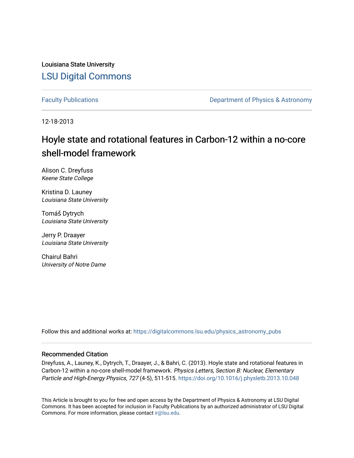Louisiana State University [LSU Digital Commons](https://digitalcommons.lsu.edu/)

[Faculty Publications](https://digitalcommons.lsu.edu/physics_astronomy_pubs) **Exercise 2 and Table 2 and Table 2 and Table 2 and Table 2 and Table 2 and Table 2 and Table 2 and Table 2 and Table 2 and Table 2 and Table 2 and Table 2 and Table 2 and Table 2 and Table 2 and Table** 

12-18-2013

## Hoyle state and rotational features in Carbon-12 within a no-core shell-model framework

Alison C. Dreyfuss Keene State College

Kristina D. Launey Louisiana State University

Tomáš Dytrych Louisiana State University

Jerry P. Draayer Louisiana State University

Chairul Bahri University of Notre Dame

Follow this and additional works at: [https://digitalcommons.lsu.edu/physics\\_astronomy\\_pubs](https://digitalcommons.lsu.edu/physics_astronomy_pubs?utm_source=digitalcommons.lsu.edu%2Fphysics_astronomy_pubs%2F1729&utm_medium=PDF&utm_campaign=PDFCoverPages) 

## Recommended Citation

Dreyfuss, A., Launey, K., Dytrych, T., Draayer, J., & Bahri, C. (2013). Hoyle state and rotational features in Carbon-12 within a no-core shell-model framework. Physics Letters, Section B: Nuclear, Elementary Particle and High-Energy Physics, 727 (4-5), 511-515. <https://doi.org/10.1016/j.physletb.2013.10.048>

This Article is brought to you for free and open access by the Department of Physics & Astronomy at LSU Digital Commons. It has been accepted for inclusion in Faculty Publications by an authorized administrator of LSU Digital Commons. For more information, please contact [ir@lsu.edu](mailto:ir@lsu.edu).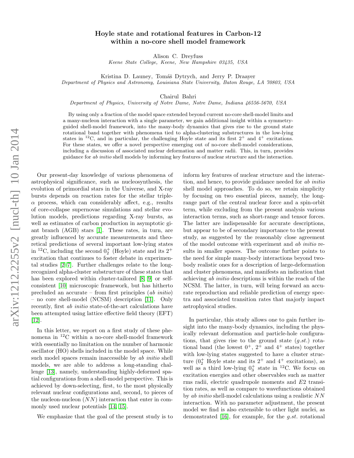## Hoyle state and rotational features in Carbon-12 within a no-core shell model framework

Alison C. Dreyfuss

Keene State College, Keene, New Hampshire 03435, USA

Kristina D. Launey, Tomáš Dytrych, and Jerry P. Draayer

Department of Physics and Astronomy, Louisiana State University, Baton Rouge, LA 70803, USA

Chairul Bahri

Department of Physics, University of Notre Dame, Notre Dame, Indiana 46556-5670, USA

By using only a fraction of the model space extended beyond current no-core shell-model limits and a many-nucleon interaction with a single parameter, we gain additional insight within a symmetryguided shell-model framework, into the many-body dynamics that gives rise to the ground state rotational band together with phenomena tied to alpha-clustering substructures in the low-lying states in <sup>12</sup>C, and in particular, the challenging Hoyle state and its first  $2^+$  and  $4^+$  excitations. For these states, we offer a novel perspective emerging out of no-core shell-model considerations, including a discussion of associated nuclear deformation and matter radii. This, in turn, provides guidance for ab initio shell models by informing key features of nuclear structure and the interaction.

Our present-day knowledge of various phenomena of astrophysical significance, such as nucleosynthesis, the evolution of primordial stars in the Universe, and X-ray bursts depends on reaction rates for the stellar triple- $\alpha$  process, which can considerably affect, e.g., results of core-collapse supernovae simulations and stellar evolution models, predictions regarding X-ray bursts, as well as estimates of carbon production in asymptotic giant branch (AGB) stars [\[1\]](#page-5-0). These rates, in turn, are greatly influenced by accurate measurements and theoretical predictions of several important low-lying states in <sup>12</sup>C, including the second  $0^+_2$  (Hoyle) state and its  $2^+$ excitation that continues to foster debate in experimental studies [\[2–](#page-5-1)[7\]](#page-5-2). Further challenges relate to the longrecognized alpha-cluster substructure of these states that has been explored within cluster-tailored [\[8,](#page-5-3) [9\]](#page-5-4) or selfconsistent [\[10\]](#page-5-5) microscopic framework, but has hitherto precluded an accurate – from first principles (ab initio) – no core shell-model (NCSM) description [\[11\]](#page-5-6). Only recently, first ab initio state-of-the-art calculations have been attempted using lattice effective field theory (EFT) [\[12\]](#page-5-7).

In this letter, we report on a first study of these phenomena in <sup>12</sup>C within a no-core shell-model framework with essentially no limitation on the number of harmonic oscillator (HO) shells included in the model space. While such model spaces remain inaccessible by ab initio shell models, we are able to address a long-standing challenge [\[13\]](#page-5-8), namely, understanding highly-deformed spatial configurations from a shell-model perspective. This is achieved by down-selecting, first, to the most physically relevant nuclear configurations and, second, to pieces of the nucleon-nucleon  $(NN)$  interaction that enter in commonly used nuclear potentials [\[14,](#page-5-9) [15\]](#page-5-10).

We emphasize that the goal of the present study is to

inform key features of nuclear structure and the interaction, and hence, to provide guidance needed for ab initio shell model approaches. To do so, we retain simplicity by focusing on two essential pieces, namely, the longrange part of the central nuclear force and a spin-orbit term, while excluding from the present analysis various interaction terms, such as short-range and tensor forces. The latter are indispensable for accurate descriptions, but appear to be of secondary importance to the present study, as suggested by the reasonably close agreement of the model outcome with experiment and ab initio results in smaller spaces. The outcome further points to the need for simple many-body interactions beyond twobody realistic ones for a description of large-deformation and cluster phenomena, and manifests an indication that achieving ab initio descriptions is within the reach of the NCSM. The latter, in turn, will bring forward an accurate reproduction and reliable prediction of energy spectra and associated transition rates that majorly impact astrophysical studies.

In particular, this study allows one to gain further insight into the many-body dynamics, including the physically relevant deformation and particle-hole configurations, that gives rise to the ground state  $(q.st.)$  rotational band (the lowest  $0^+$ ,  $2^+$  and  $4^+$  states) together with low-lying states suggested to have a cluster structure  $(0<sub>2</sub><sup>+</sup>$  Hoyle state and its  $2<sup>+</sup>$  and  $4<sup>+</sup>$  excitations), as well as a third low-lying  $0_3^+$  state in <sup>12</sup>C. We focus on excitation energies and other observables such as matter rms radii, electric quadrupole moments and E2 transition rates, as well as compare to wavefunctions obtained by ab initio shell-model calculations using a realistic NN interaction. With no parameter adjustment, the present model we find is also extensible to other light nuclei, as demonstrated [\[16\]](#page-5-11), for example, for the g.st. rotational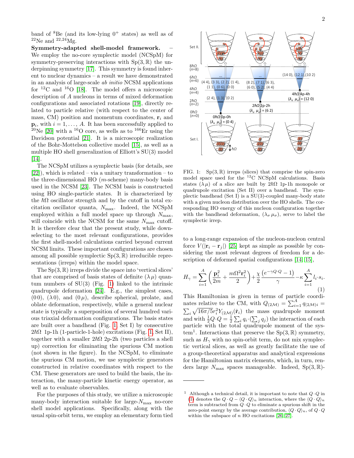band of  ${}^{8}$ Be (and its low-lying  $0^{+}$  states) as well as of  $^{22}$ Ne and  $^{22,24}$ Mg.

Symmetry-adapted shell-model framework. – We employ the no-core symplectic model (NCSpM) for symmetry-preserving interactions with  $Sp(3, \mathbb{R})$  the underpinning symmetry [\[17\]](#page-5-12). This symmetry is found inherent to nuclear dynamics – a result we have demonstrated in an analysis of large-scale ab initio NCSM applications for  ${}^{12}$ C and  ${}^{16}$ O [\[18\]](#page-5-13). The model offers a microscopic description of A nucleons in terms of mixed deformation configurations and associated rotations [\[19\]](#page-5-14), directly related to particle relative (with respect to the center of mass, CM) position and momentum coordinates,  $\mathbf{r}_i$  and  $\mathbf{p}_i$ , with  $i = 1, \ldots, A$ . It has been successfully applied to <sup>20</sup>Ne [\[20\]](#page-5-15) with a <sup>16</sup>O core, as wells as to <sup>166</sup>Er using the Davidson potential [\[21\]](#page-5-16). It is a microscopic realization of the Bohr-Mottelson collective model [\[15\]](#page-5-10), as well as a multiple HO shell generalization of Elliott's SU(3) model [\[14\]](#page-5-9).

The NCSpM utilizes a symplectic basis (for details, see  $[22]$ , which is related – via a unitary transformation – to the three-dimensional HO  $(m\text{-scheme})$  many-body basis used in the NCSM [\[23\]](#page-5-18). The NCSM basis is constructed using HO single-particle states. It is characterized by the  $\hbar\Omega$  oscillator strength and by the cutoff in total excitation oscillator quanta,  $N_{\text{max}}$ . Indeed, the NCSpM employed within a full model space up through  $N_{\text{max}}$ , will coincide with the NCSM for the same  $N_{\text{max}}$  cutoff. It is therefore clear that the present study, while downselecting to the most relevant configurations, provides the first shell-model calculations carried beyond current NCSM limits. These important configurations are chosen among all possible symplectic  $Sp(3, \mathbb{R})$  irreducible representations (irreps) within the model space.

The  $Sp(3, \mathbb{R})$  irreps divide the space into 'vertical slices' that are comprised of basis states of definite  $(\lambda \mu)$  quantum numbers of  $SU(3)$  (Fig. [1\)](#page-2-0) linked to the intrinsic quadrupole deformation [\[24\]](#page-5-19). E.g., the simplest cases,  $(0 0)$ ,  $(\lambda 0)$ , and  $(0 \mu)$ , describe spherical, prolate, and oblate deformation, respectively, while a general nuclear state is typically a superposition of several hundred various triaxial deformation configurations. The basis states are built over a bandhead (Fig. [1,](#page-2-0) Set I) by consecutive  $2\hbar\Omega$  1p-1h (1-particle-1-hole) excitations (Fig. [1,](#page-2-0) Set II), together with a smaller  $2\hbar\Omega$  2p-2h (two particles a shell up) correction for eliminating the spurious CM motion (not shown in the figure). In the NCSpM, to eliminate the spurious CM motion, we use symplectic generators constructed in relative coordinates with respect to the CM. These generators are used to build the basis, the interaction, the many-particle kinetic energy operator, as well as to evaluate observables.

For the purposes of this study, we utilize a microscopic many-body interaction suitable for large- $N_{\text{max}}$  no-core shell model applications. Specifically, along with the usual spin-orbit term, we employ an elementary form tied



<span id="page-2-0"></span>FIG. 1:  $Sp(3, \mathbb{R})$  irreps (slices) that comprise the spin-zero model space used for the <sup>12</sup>C NCSpM calculations. Basis states  $(\lambda \mu)$  of a slice are built by  $2\hbar\Omega$  1p-1h monopole or quadrupole excitation (Set II) over a bandhead. The symplectic bandhead (Set I) is a SU(3)-coupled many-body state with a given nucleon distribution over the HO shells. The corresponding HO energy of this nucleon configuration together with the bandhead deformation,  $(\lambda_{\sigma} \mu_{\sigma})$ , serve to label the symplectic irrep.

to a long-range expansion of the nucleon-nucleon central force  $V(|\mathbf{r}_i - \mathbf{r}_j|)$  [\[25\]](#page-5-20) kept as simple as possible by considering the most relevant degrees of freedom for a description of deformed spatial configurations [\[14,](#page-5-9) [15\]](#page-5-10),

<span id="page-2-1"></span>
$$
H_{\gamma} = \sum_{i=1}^{A} \left( \frac{\mathbf{p}_i^2}{2m} + \frac{m\Omega^2 \mathbf{r}_i^2}{2} \right) + \frac{\chi}{2} \frac{(e^{-\gamma Q \cdot Q} - 1)}{\gamma} - \kappa \sum_{i=1}^{A} l_i \cdot s_i.
$$
\n(1)

This Hamiltonian is given in terms of particle coordinates relative to the CM, with  $Q_{(2\mathcal{M})} = \sum_{i=1}^{A} q_{(2\mathcal{M})i} =$  $\sum_i \sqrt{16\pi/5} r_i^2 Y_{(2\mathcal{M})}(\hat{\mathbf{r}}_i)$  the mass quadrupole moment and with  $\frac{1}{2}Q \cdot Q = \frac{1}{2} \sum_i q_i \cdot (\sum_j q_j)$  the interaction of each particle with the total quadrupole moment of the sys- $\text{tem}^1$ . Interactions that preserve the Sp(3, R) symmetry, such as  $H_{\gamma}$  with no spin-orbit term, do not mix symplectic vertical slices, as well as greatly facilitate the use of a group-theoretical apparatus and analytical expressions for the Hamiltonian matrix elements, which, in turn, renders large  $N_{\text{max}}$  spaces manageable. Indeed,  $Sp(3, \mathbb{R})$ -

<sup>&</sup>lt;sup>1</sup> Although a technical detail, it is important to note that  $Q \cdot Q$  in [\(1\)](#page-2-1) denotes the  $Q \cdot Q - \langle Q \cdot Q \rangle_n$  interaction, where the  $\langle Q \cdot Q \rangle_n$ term is subtracted from  $Q \cdot Q$  to eliminate a spurious shift in the zero-point energy by the average contribution,  $\langle Q \cdot Q \rangle_n$ , of  $Q \cdot Q$ within the subspace of  $n$  HO excitations [\[26,](#page-5-21) [27\]](#page-5-22).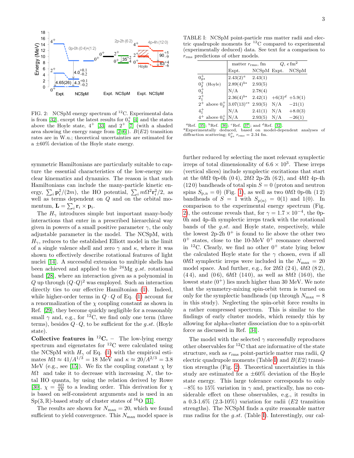

<span id="page-3-0"></span>FIG. 2: NCSpM energy spectrum of <sup>12</sup>C. Experimental data is from [\[32\]](#page-5-23), except the latest results for  $0_3^+$  [\[4\]](#page-5-24) and the states above the Hoyle state,  $4^+$  [\[33\]](#page-5-25) and  $2^+$  [\[7\]](#page-5-2) (with a shaded area showing the energy range from  $[2-6]$  $[2-6]$ ).  $B(E2)$  transition rates are in W.u.; theoretical uncertainties are estimated for a  $\pm 60\%$  deviation of the Hoyle state energy.

symmetric Hamiltonians are particularly suitable to capture the essential characteristics of the low-energy nuclear kinematics and dynamics. The reason is that such Hamiltonians can include the many-particle kinetic energy,  $\sum_i \mathbf{p}_i^2/(2m)$ , the HO potential,  $\sum_i m\Omega^2 \mathbf{r}_i^2/2$ , as well as terms dependent on Q and on the orbital momentum,  $\mathbf{L} = \sum_i \mathbf{r}_i \times \mathbf{p}_i$ .

The  $H_{\gamma}$  introduces simple but important many-body interactions that enter in a prescribed hierarchical way given in powers of a small positive parameter  $\gamma$ , the only adjustable parameter in the model. The NCSpM, with  $H_{\gamma}$ , reduces to the established Elliott model in the limit of a single valence shell and zero  $\gamma$  and  $\kappa$ , where it was shown to effectively describe rotational features of light nuclei [\[14\]](#page-5-9). A successful extension to multiple shells has been achieved and applied to the  $^{24}Mg$  g.st. rotational band [\[28\]](#page-5-27), where an interaction given as a polynomial in Q up through  $(Q \cdot Q)^2$  was employed. Such an interaction directly ties to our effective Hamiltonian [\(1\)](#page-2-1). Indeed, while higher-order terms in  $Q \cdot Q$  of Eq. [\(1\)](#page-2-1) account for a renormalization of the  $\chi$  coupling constant as shown in Ref. [\[29\]](#page-5-28), they become quickly negligible for a reasonably small  $\gamma$  and, e.g., for <sup>12</sup>C, we find only one term (three terms), besides  $Q \cdot Q$ , to be sufficient for the g.st. (Hoyle state).

Collective features in  ${}^{12}C$ . – The low-lying energy spectrum and eigenstates for  ${}^{12}$ C were calculated using the NCSpM with  $H_{\gamma}$  of Eq. [\(1\)](#page-2-1) with the empirical estimates  $\hbar\Omega \approx 41/A^{1/3} = 18$  MeV and  $\kappa \approx 20/A^{2/3} = 3.8$ MeV (e.g., see [\[15\]](#page-5-10)). We fix the coupling constant  $\chi$  by  $\hbar\Omega$  and take it to decrease with increasing N, the total HO quanta, by using the relation derived by Rowe [\[30\]](#page-5-29),  $\chi = \frac{\hbar \Omega}{4N}$  to a leading order. This derivation for  $\chi$ is based on self-consistent arguments and is used in an  $Sp(3, \mathbb{R})$ -based study of cluster states of <sup>16</sup>O [\[31\]](#page-5-30).

The results are shown for  $N_{\text{max}} = 20$ , which we found sufficient to yield convergence. This  $N_{\rm max}$  model space is

<span id="page-3-1"></span>TABLE I: NCSpM point-particle rms matter radii and electric quadrupole moments for  ${}^{12}$ C compared to experimental (experimentally deduced) data. See text for a comparison to  $r_{\rm rms}$  predictions of other models.

|                                                    | matter $r_{\rm rms}$ , fm |                           | $Q, e \, \text{fm}^2$ |               |
|----------------------------------------------------|---------------------------|---------------------------|-----------------------|---------------|
|                                                    | Expt.                     | NCSpM Expt.               |                       | <b>NCSpM</b>  |
| $0_{qs}^+$                                         | $(2.43(2)^{a})$           | 2.43(1)                   |                       |               |
| $0^+_2$ (Hoyle)                                    | $2.89(4)^{b*}$            | 2.93(5)                   |                       |               |
| $0^{+}_{3}$                                        | N/A                       | 2.78(4)                   |                       |               |
| $2^{+}_{1}$                                        | $2.36(4)^{b*}$            | $2.42(1) +6(3)^d +5.9(1)$ |                       |               |
| $2^+$ above $0^+_2$ 3.07(13) <sup>c*</sup> 2.93(5) |                           |                           | $N/A$ $-21(1)$        |               |
| $4^{+}_{1}$                                        | N/A                       | 2.41(1)                   |                       | $N/A$ +8.0(3) |
| $4^+$ above $0^+_2$                                | N/A                       | 2.93(5)                   | N/A                   | $-26(1)$      |

<sup>a</sup>Ref. [\[35\]](#page-5-31); <sup>b</sup>Ref. [\[36\]](#page-5-32); <sup>c</sup>Ref. [\[37\]](#page-5-33); and <sup>*d*</sup>Ref. [\[32\]](#page-5-23).<br>\*Experimentally deduced, based on model-dependent analyses of diffraction scattering;  $0_{gs}^{+}$   $r_{\rm rms} = 2.34$  fm.

further reduced by selecting the most relevant symplectic irreps of total dimensionality of  $6.6 \times 10^3$ . These irreps (vertical slices) include symplectic excitations that start at the  $0\hbar\Omega$  0p-0h (0.4),  $2\hbar\Omega$  2p-2h (6.2), and  $4\hbar\Omega$  4p-4h  $(120)$  bandheads of total spin  $S = 0$  (proton and neutron spins  $S_{\text{p,n}} = 0$ ) (Fig. [1\)](#page-2-0), as well as two 0 $\hbar\Omega$  0p-0h (12) bandheads of  $S = 1$  with  $S_{p(n)} = 0(1)$  and 1(0). In comparison to the experimental energy spectrum (Fig. [2\)](#page-3-0), the outcome reveals that, for  $\gamma = 1.7 \times 10^{-4}$ , the 0p-0h and 4p-4h symplectic irreps track with the rotational bands of the g.st. and Hoyle state, respectively, while the lowest  $2p-2h$   $0^+$  is found to lie above the other two  $0^+$  states, close to the 10-MeV  $0^+$  resonance observed in <sup>12</sup>C. Clearly, we find no other  $0^+$  state lying below the calculated Hoyle state for the  $\gamma$  chosen, even if all  $0\hbar\Omega$  symplectic irreps were included in the  $N_{\text{max}} = 20$ model space. And further, e.g., for  $2\hbar\Omega$  (24),  $4\hbar\Omega$  (82), (44), and (06),  $6\hbar\Omega$  (140), as well as  $8\hbar\Omega$  (160), the lowest state  $(0^+)$  lies much higher than 30 MeV. We note that the symmetry-mixing spin-orbit term is turned on only for the symplectic bandheads (up through  $N_{\text{max}} = 8$ ) in this study). Neglecting the spin-orbit force results in a rather compressed spectrum. This is similar to the findings of early cluster models, which remedy this by allowing for alpha-cluster dissociation due to a spin-orbit force as discussed in Ref. [\[34\]](#page-5-34).

The model with the selected  $\gamma$  successfully reproduces other observables for <sup>12</sup>C that are informative of the state structure, such as  $r_{\rm rms}$  point-particle matter rms radii,  $Q$ electric quadrupole moments (Table [I\)](#page-3-1) and  $B(E2)$  transition strengths (Fig. [2\)](#page-3-0). Theoretical uncertainties in this study are estimated for a  $\pm 60\%$  deviation of the Hoyle state energy. This large tolerance corresponds to only  $-8\%$  to 15% variation in  $\gamma$  and, practically, has no considerable effect on these observables, e.g., it results in a 0.3-1.6\%  $(2.3-10\%)$  variation for radii  $(E2)$  transition strengths). The NCSpM finds a quite reasonable matter rms radius for the  $q.st.$  (Table [I\)](#page-3-1). Interestingly, our cal-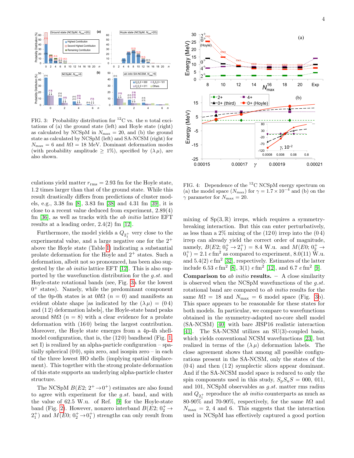

<span id="page-4-0"></span>FIG. 3: Probability distribution for  ${}^{12}$ C vs. the *n* total excitations of (a) the ground state (left) and Hoyle state (right) as calculated by NCSpM in  $N_{\text{max}} = 20$ , and (b) the ground state as calculated by NCSpM (left) and SA-NCSM (right) for  $N_{\text{max}} = 6$  and  $\hbar \Omega = 18$  MeV. Dominant deformation modes (with probability amplitude  $\geq 1\%$ ), specified by  $(\lambda \mu)$ , are also shown.

culations yield matter  $r_{\rm rms} = 2.93$  fm for the Hoyle state, 1.2 times larger than that of the ground state. While this result drastically differs from predictions of cluster models, e.g., 3.38 fm [\[8\]](#page-5-3), 3.83 fm [\[38\]](#page-6-0) and 4.31 fm [\[39\]](#page-6-1), it is close to a recent value deduced from experiment, 2.89(4) fm [\[36\]](#page-5-32), as well as tracks with the ab initio lattice EFT results at a leading order, 2.4(2) fm [\[12\]](#page-5-7).

Furthermore, the model yields a  $Q_{2^+_1}$  very close to the experimental value, and a large negative one for the  $2^+$ above the Hoyle state (Table [I\)](#page-3-1) indicating a substantial prolate deformation for the Hoyle and  $2^+$  states. Such a deformation, albeit not so pronounced, has been also suggested by the ab initio lattice EFT [\[12\]](#page-5-7). This is also supported by the wavefunction distribution for the g.st. and Hoyle-state rotational bands (see, Fig. [3a](#page-4-0) for the lowest 0 <sup>+</sup> states). Namely, while the predominant component of the 0p-0h states is at  $0\hbar\Omega$  (n = 0) and manifests an evident oblate shape [as indicated by the  $(\lambda \mu) = (0.4)$ and (1 2) deformation labels], the Hoyle-state band peaks around  $8\hbar\Omega$  (n = 8) with a clear evidence for a prolate deformation with (16 0) being the largest contribution. Moreover, the Hoyle state emerges from a 4p-4h shellmodel configuration, that is, the (12 0) bandhead (Fig. [1,](#page-2-0) set I) is realized by an alpha-particle configuration – spatially spherical  $(0 0)$ , spin zero, and isospin zero – in each of the three lowest HO shells (implying spatial displacement). This together with the strong prolate deformation of this state supports an underlying alpha-particle cluster structure.

The NCSpM  $B(E2; 2^+ \rightarrow 0^+)$  estimates are also found to agree with experiment for the g.st. band, and with the value of 62.5 W.u. of Ref. [\[9\]](#page-5-4) for the Hoyle-state band (Fig. [2\)](#page-3-0). However, nonzero interband  $B(E2; 0<sub>2</sub><sup>+</sup> \rightarrow$  $2<sub>1</sub><sup>+</sup>$ ) and  $M(E0; 0<sub>2</sub><sup>+</sup> \to 0<sub>1</sub><sup>+</sup>)$  strengths can only result from



<span id="page-4-1"></span>FIG. 4: Dependence of the <sup>12</sup>C NCSpM energy spectrum on (a) the model space  $(N_{\text{max}})$  for  $\gamma = 1.7 \times 10^{-4}$  and (b) on the  $\gamma$  parameter for  $N_{\rm max}=20.$ 

mixing of  $Sp(3, \mathbb{R})$  irreps, which requires a symmetrybreaking interaction. But this can enter perturbatively, as less than a  $2\%$  mixing of the  $(120)$  irrep into the  $(04)$ irrep can already yield the correct order of magnitude, namely,  $B(E2; 0_2^+ \rightarrow 2_1^+) = 8.4$  W.u. and  $M(E0; 0_2^+ \rightarrow$  $0_1^+$  = 2.1 e fm<sup>2</sup> as compared to experiment, 8.0(11) W.u. and  $5.4(2)$  e fm<sup>2</sup> [\[32\]](#page-5-23), respectively. Estimates of the latter include 6.53  $e \text{ fm}^2$  [\[8\]](#page-5-3), 3(1)  $e \text{ fm}^2$  [\[12\]](#page-5-7), and 6.7  $e \text{ fm}^2$  [\[9\]](#page-5-4).

**Comparison to** ab initio results.  $-$  A close similarity is observed when the NCSpM wavefunctions of the  $q.st$ . rotational band are compared to ab initio results for the same  $\hbar\Omega = 18$  and  $N_{\text{max}} = 6$  model space (Fig. [3b](#page-4-0)). This space appears to be reasonable for these states for both models. In particular, we compare to wavefunctions obtained in the symmetry-adapted no-core shell model (SA-NCSM) [\[40\]](#page-6-2) with bare JISP16 realistic interaction [\[41\]](#page-6-3). The SA-NCSM utilizes an SU(3)-coupled basis, which yields conventional NCSM wavefunctions [\[23\]](#page-5-18), but realized in terms of the  $(\lambda \mu)$  deformation labels. The close agreement shows that among all possible configurations present in the SA-NCSM, only the states of the (0 4) and then (1 2) symplectic slices appear dominant. And if the SA-NCSM model space is reduced to only the spin components used in this study,  $S_pS_nS = 000$ , 011, and 101, NCSpM observables as g.st. matter rms radius and  $Q_{2_1^+}$  reproduce the *ab initio* counterparts as much as 80-90% and 70-90%, respectively, for the same  $\hbar\Omega$  and  $N_{\text{max}} = 2, 4$  and 6. This suggests that the interaction used in NCSpM has effectively captured a good portion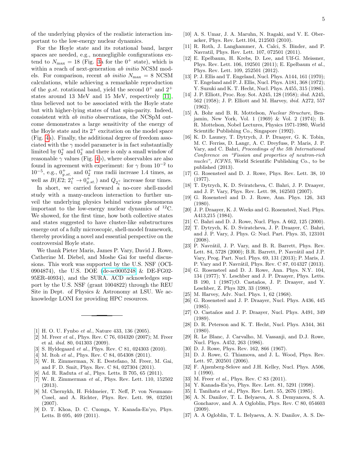of the underlying physics of the realistic interaction important to the low-energy nuclear dynamics.

For the Hoyle state and its rotational band, larger spaces are needed, e.g., nonnegligible configurations extend to  $N_{\text{max}} = 18$  (Fig. [3a](#page-4-0) for the  $0^+$  state), which is within a reach of next-generation ab initio NCSM models. For comparison, recent ab initio  $N_{\text{max}} = 8 \text{ NCSM}$ calculations, while achieving a remarkable reproduction of the g.st. rotational band, yield the second  $0^+$  and  $2^+$ states around 13 MeV and 15 MeV, respectively [\[11\]](#page-5-6), thus believed not to be associated with the Hoyle state but with higher-lying states of that spin-parity. Indeed, consistent with ab initio observations, the NCSpM outcome demonstrates a large sensitivity of the energy of the Hoyle state and its  $2^+$  excitation on the model space (Fig. [4a](#page-4-1)). Finally, the additional degree of freedom associated with the  $\gamma$  model parameter is in fact substantially limited by  $0_2^+$  and  $0_3^+$  and there is only a small window of reasonable  $\gamma$  values (Fig. [4b](#page-4-1)), where observables are also found in agreement with experiment: for  $\gamma$  from  $10^{-2}$  to  $10^{-5}$ , e.g.,  $0_{g,st.}^+$  and  $0_2^+$  rms radii increase 1.4 times, as well as  $B(E2; 2^+_1 \rightarrow 0^+_{g.st.})$  and  $Q_{2^+_1}$  increase four times.

In short, we carried forward a no-core shell-model study with a many-nucleon interaction to further unveil the underlying physics behind various phenomena important to the low-energy nuclear dynamics of  ${}^{12}C$ . We showed, for the first time, how both collective states and states suggested to have cluster-like substructures emerge out of a fully microscopic, shell-model framework, thereby providing a novel and essential perspective on the controversial Hoyle state.

We thank Pieter Maris, James P. Vary, David J. Rowe, Catherine M. Diebel, and Moshe Gai for useful discussions. This work was supported by the U.S. NSF (OCI-0904874), the U.S. DOE [\(de-sc0005248](http://arxiv.org/abs/de-sc/0005248) & DE-FG02- 95ER-40934), and the SURA. ACD acknowledges support by the U.S. NSF (grant 1004822) through the REU Site in Dept. of Physics & Astronomy at LSU. We acknowledge LONI for providing HPC resources.

- <span id="page-5-0"></span>[1] H. O. U. Fynbo et al., Nature 433, 136 (2005).
- <span id="page-5-1"></span>[2] M. Freer et al., Phys. Rev. C 76, 034320 (2007); M. Freer et al. ibid. 80, 041303 (2009).
- [3] S. Hyldegaard et al., Phys. Rev. C 81, 024303 (2010).
- <span id="page-5-24"></span>[4] M. Itoh *et al.*, Phys. Rev. C 84, 054308 (2011).
- [5] W. R. Zimmerman, N. E. Destefano, M. Freer, M. Gai, and F. D. Smit, Phys. Rev. C 84, 027304 (2011).
- <span id="page-5-26"></span>[6] Ad. R. Raduta et al., Phys. Letts. B 705, 65 (2011).
- <span id="page-5-2"></span>[7] W. R. Zimmerman et al., Phys. Rev. Lett. 110, 152502 (2013).
- <span id="page-5-3"></span>[8] M. Chernykh, H. Feldmeier, T. Neff, P. von Neumann-Cosel, and A. Richter, Phys. Rev. Lett. 98, 032501 (2007).
- <span id="page-5-4"></span>[9] D. T. Khoa, D. C. Cuonga, Y. Kanada-En'yo, Phys. Letts. B 695, 469 (2011).
- <span id="page-5-5"></span>[10] A. S. Umar, J. A. Maruhn, N. Itagaki, and V. E. Oberacker, Phys. Rev. Lett.104, 212503 (2010).
- <span id="page-5-6"></span>[11] R. Roth, J. Langhammer, A. Calci, S. Binder, and P. Navratil, Phys. Rev. Lett. 107, 072501 (2011).
- <span id="page-5-7"></span>[12] E. Epelbaum, H. Krebs, D. Lee, and Ulf-G. Meissner, Phys. Rev. Lett. 106, 192501 (2011); E. Epelbaum et al., Phys. Rev. Lett. 109, 252501 (2012).
- <span id="page-5-8"></span>[13] P. J. Ellis and T. Engeland, Nucl. Phys. A144, 161 (1970); T. Engeland and P. J. Ellis, Nucl. Phys. A181, 368 (1972); Y. Suzuki and K. T. Hecht, Nucl. Phys. A455, 315 (1986).
- <span id="page-5-9"></span>[14] J. P. Elliott, Proc. Roy. Sot. A245, 128 (1958); *ibid.* A245, 562 (1958); J. P. Elliott and M. Harvey, ibid. A272, 557 (1962).
- <span id="page-5-10"></span>[15] A. Bohr and B. R. Mottelson, Nuclear Structure, Benjamin, New York, Vol. 1 (1969) & Vol. 2 (1974); B. R. Mottelson, Nobel Lectures, Physics 1971-1980, World Scientific Publishing Co., Singapore (1992).
- <span id="page-5-11"></span>[16] K. D. Launey, T. Dytrych, J. P. Draayer, G. K. Tobin, M. C. Ferriss, D. Langr, A. C. Dreyfuss, P. Maris, J. P. Vary, and C. Bahri, Proceedings of the 5th International Conference on "Fission and properties of neutron-rich nuclei", ICFN5, World Scientific Publishing Co., to be published (2013).
- <span id="page-5-12"></span>[17] G. Rosensteel and D. J. Rowe, Phys. Rev. Lett. 38, 10 (1977).
- <span id="page-5-13"></span>[18] T. Dytrych, K. D. Sviratcheva, C. Bahri, J. P. Draayer, and J. P. Vary, Phys. Rev. Lett. 98, 162503 (2007).
- <span id="page-5-14"></span>[19] G. Rosensteel and D. J. Rowe, Ann. Phys. 126, 343 (1980).
- <span id="page-5-15"></span>[20] J. P. Draayer, K. J. Weeks and G. Rosensteel, Nucl. Phys. A413,215 (1984).
- <span id="page-5-16"></span>[21] C. Bahri and D. J. Rowe, Nucl. Phys. A 662, 125 (2000).
- <span id="page-5-17"></span>[22] T. Dytrych, K. D. Sviratcheva, J. P. Draayer, C. Bahri, and J. P. Vary, J. Phys. G: Nucl. Part. Phys. 35, 123101 (2008).
- <span id="page-5-18"></span>[23] P. Navrátil, J. P. Vary, and B. R. Barrett, Phys. Rev. Lett. 84, 5728 (2000); B.R. Barrett, P. Navrátil and J.P. Vary, Prog. Part. Nucl. Phys. 69, 131 (2013); P. Maris, J. P. Vary and P. Navrátil, Phys. Rev. C 87, 014327 (2013).
- <span id="page-5-19"></span>[24] G. Rosensteel and D. J. Rowe, Ann. Phys. N.Y. 104, 134 (1977); Y. Leschber and J. P. Draayer, Phys. Letts. B 190, 1 (1987); O. Castaños, J. P. Draayer, and Y. Leschber, Z. Phys 329, 33 (1988).
- <span id="page-5-20"></span>[25] M. Harvey, Adv. Nucl. Phys. 1, 62 (1968).
- <span id="page-5-21"></span>[26] G. Rosensteel and J. P. Draayer, Nucl. Phys. A436, 445 (1985).
- <span id="page-5-22"></span>[27] O. Castaños and J. P. Draayer, Nucl. Phys. A491, 349 (1989).
- <span id="page-5-27"></span>[28] D. R. Peterson and K. T. Hecht, Nucl. Phys. A344, 361 (1980).
- <span id="page-5-28"></span>[29] R. Le Blanc, J. Carvalho, M. Vassanji, and D.J. Rowe, Nucl. Phys. A452, 263 (1986).
- <span id="page-5-29"></span>[30] D. J. Rowe, Phys. Rev. 162, 866 (1967).
- <span id="page-5-30"></span>[31] D. J. Rowe, G. Thiamova, and J. L. Wood, Phys. Rev. Lett. 97, 202501 (2006).
- <span id="page-5-23"></span>[32] F. Ajzenberg-Selove and J.H. Kelley, Nucl. Phys. A506, 1 (1990).
- <span id="page-5-25"></span>[33] M. Freer et al., Phys. Rev. C 83 (2011).
- <span id="page-5-34"></span>[34] Y. Kanada-En'yo, Phys. Rev. Lett. 81, 5291 (1998).
- <span id="page-5-31"></span>[35] I. Tanihata et al., Phys. Rev. Lett. 55, 2676 (1985).
- <span id="page-5-32"></span>[36] A. N. Danilov, T. L. Belyaeva, A. S. Demyanova, S. A. Goncharov, and A. A Ogloblin, Phys. Rev. C 80, 054603 (2009).
- <span id="page-5-33"></span>[37] A. A Ogloblin, T. L. Belyaeva, A. N. Danilov, A. S. De-